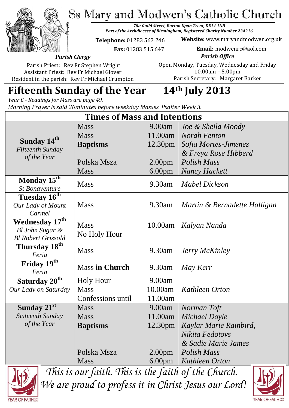Ss Mary and Modwen's Catholic Church



*78a Guild Street, Burton Upon Trent, DE14 1NB Part of the Archdiocese of Birmingham, Registered Charity Number 234216*

**Telephone:** 01283 563 246

 **Fax:** 01283 515 647

**Website:** www.maryandmodwen.org.uk **Email:** modwenrc@aol.com

*Parish Clergy*

Parish Priest: Rev Fr Stephen Wright Assistant Priest: Rev Fr Michael Glover Resident in the parish: Rev Fr Michael Crumpton

*Parish Office* Open Monday, Tuesday, Wednesday and Friday 10.00am – 5.00pm Parish Secretary:Margaret Barker

# **Fifteenth Sunday of the Year 14th July 2013**

*Year C - Readings for Mass are page 49. Morning Prayer is said 20minutes before weekday Masses. Psalter Week 3.*

| <b>Times of Mass and Intentions</b>                        |                       |                     |                              |
|------------------------------------------------------------|-----------------------|---------------------|------------------------------|
|                                                            | <b>Mass</b>           | 9.00am              | Joe & Sheila Moody           |
| Sunday 14 <sup>th</sup><br>Fifteenth Sunday<br>of the Year | <b>Mass</b>           | 11.00am             | <b>Norah Fenton</b>          |
|                                                            | <b>Baptisms</b>       | 12.30 <sub>pm</sub> | Sofia Mortes-Jimenez         |
|                                                            |                       |                     | & Freya Rose Hibberd         |
|                                                            | Polska Msza           | 2.00 <sub>pm</sub>  | <b>Polish Mass</b>           |
|                                                            | <b>Mass</b>           | 6.00 <sub>pm</sub>  | <b>Nancy Hackett</b>         |
| Monday $15^{\overline{th}}$                                | <b>Mass</b>           | 9.30am              | <b>Mabel Dickson</b>         |
| <b>St Bonaventure</b>                                      |                       |                     |                              |
| Tuesday 16 <sup>th</sup>                                   | <b>Mass</b>           | 9.30am              | Martin & Bernadette Halligan |
| Our Lady of Mount<br>Carmel                                |                       |                     |                              |
| Wednesday 17th                                             | <b>Mass</b>           | 10.00am             | Kalyan Nanda                 |
| Bl John Sugar &                                            | No Holy Hour          |                     |                              |
| <b>Bl Robert Grissold</b>                                  |                       |                     |                              |
| Thursday 18 <sup>th</sup><br>Feria                         | <b>Mass</b>           | 9.30am              | Jerry McKinley               |
| Friday 19th<br>Feria                                       | <b>Mass in Church</b> | 9.30am              | May Kerr                     |
| Saturday 20 <sup>th</sup>                                  | <b>Holy Hour</b>      | 9.00am              |                              |
| Our Lady on Saturday                                       | <b>Mass</b>           | 10.00am             | <b>Kathleen Orton</b>        |
|                                                            | Confessions until     | 11.00am             |                              |
| Sunday 21st                                                | <b>Mass</b>           | 9.00am              | Norman Toft                  |
| Sixteenth Sunday                                           | <b>Mass</b>           | 11.00am             | Michael Doyle                |
| of the Year                                                | <b>Baptisms</b>       | 12.30pm             | Kaylar Marie Rainbird,       |
|                                                            |                       |                     | Nikita Fedotovs              |
|                                                            |                       |                     | & Sadie Marie James          |
|                                                            | Polska Msza           | 2.00 <sub>pm</sub>  | Polish Mass                  |
|                                                            | <b>Mass</b>           | 6.00 <sub>pm</sub>  | Kathleen Orton               |



*This is our faith. This is the faith of the Church. We are proud to profess it in Christ Jesus our Lord!*

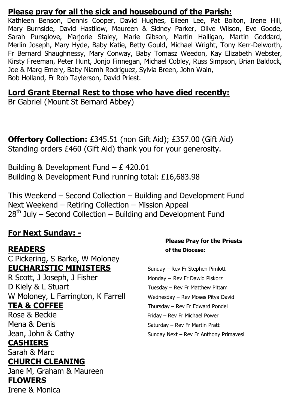#### **Please pray for all the sick and housebound of the Parish:**

Kathleen Benson, Dennis Cooper, David Hughes, Eileen Lee, Pat Bolton, Irene Hill, Mary Burnside, David Hastilow, Maureen & Sidney Parker, Olive Wilson, Eve Goode, Sarah Pursglove, Marjorie Staley, Marie Gibson, Martin Halligan, Martin Goddard, Merlin Joseph, Mary Hyde, Baby Katie, Betty Gould, Michael Wright, Tony Kerr-Delworth, Fr Bernard Shaughnessy, Mary Conway, Baby Tomasz Weedon, Kay Elizabeth Webster, Kirsty Freeman, Peter Hunt, Jonjo Finnegan, Michael Cobley, Russ Simpson, Brian Baldock, Joe & Marg Emery, Baby Niamh Rodriguez, Sylvia Breen, John Wain, Bob Holland, Fr Rob Taylerson, David Priest.

#### **Lord Grant Eternal Rest to those who have died recently:**

Br Gabriel (Mount St Bernard Abbey)

**Offertory Collection:** £345.51 (non Gift Aid); £357.00 (Gift Aid) Standing orders £460 (Gift Aid) thank you for your generosity.

Building & Development Fund – £ 420.01 Building & Development Fund running total: £16,683.98

This Weekend – Second Collection – Building and Development Fund Next Weekend – Retiring Collection – Mission Appeal  $28<sup>th</sup>$  July – Second Collection – Building and Development Fund

#### **For Next Sunday: -**

C Pickering, S Barke, W Moloney **EUCHARISTIC MINISTERS** Sunday – Rev Fr Stephen Pimlott R Scott, J Joseph, J Fisher Monday – Rev Fr Dawid Piskorz D Kiely & L Stuart Tuesday – Rev Fr Matthew Pittam W Moloney, L Farrington, K Farrell Wednesday - Rev Moses Pitya David **TEA & COFFEE** Thursday – Rev Fr Edward Pondel Rose & Beckie Friday – Rev Fr Michael Power

#### **CASHIERS**

Sarah & Marc

#### **CHURCH CLEANING**

Jane M, Graham & Maureen **FLOWERS**  Irene & Monica

#### **Please Pray for the Priests READERS of the Diocese:**

Mena & Denis Saturday – Rev Fr Martin Pratt Jean, John & Cathy Sunday Next – Rev Fr Anthony Primavesi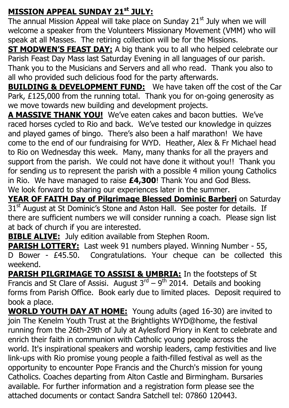### **MISSION APPEAL SUNDAY 21st JULY:**

The annual Mission Appeal will take place on Sunday  $21<sup>st</sup>$  July when we will welcome a speaker from the Volunteers Missionary Movement (VMM) who will speak at all Masses. The retiring collection will be for the Missions.

**ST MODWEN'S FEAST DAY:** A big thank you to all who helped celebrate our Parish Feast Day Mass last Saturday Evening in all languages of our parish. Thank you to the Musicians and Servers and all who read. Thank you also to all who provided such delicious food for the party afterwards.

**BUILDING & DEVELOPMENT FUND:** We have taken off the cost of the Car Park, £125,000 from the running total. Thank you for on-going generosity as we move towards new building and development projects.

**A MASSIVE THANK YOU!** We've eaten cakes and bacon butties. We've raced horses cycled to Rio and back. We've tested our knowledge in quizzes and played games of bingo. There's also been a half marathon! We have come to the end of our fundraising for WYD. Heather, Alex & Fr Michael head to Rio on Wednesday this week. Many, many thanks for all the prayers and support from the parish. We could not have done it without you!! Thank you for sending us to represent the parish with a possible 4 milion young Catholics in Rio. We have managed to raise **£4,300**! Thank You and God Bless. We look forward to sharing our experiences later in the summer.

**YEAR OF FAITH Day of Pilgrimage Blessed Dominic Barberi** on Saturday 31<sup>st</sup> August at St Dominic's Stone and Aston Hall. See poster for details. If there are sufficient numbers we will consider running a coach. Please sign list at back of church if you are interested.

**BIBLE ALIVE:** July edition available from Stephen Room.

**PARISH LOTTERY:** Last week 91 numbers played. Winning Number - 55, D Bower - £45.50. Congratulations. Your cheque can be collected this weekend.

**PARISH PILGRIMAGE TO ASSISI & UMBRIA:** In the footsteps of St Francis and St Clare of Assisi. August  $3^{rd} - 9^{th}$  2014. Details and booking forms from Parish Office. Book early due to limited places. Deposit required to book a place.

**WORLD YOUTH DAY AT HOME:** Young adults (aged 16-30) are invited to join The Kenelm Youth Trust at the Brightlights WYD@home, the festival running from the 26th-29th of July at Aylesford Priory in Kent to celebrate and enrich their faith in communion with Catholic young people across the world. It's inspirational speakers and worship leaders, camp festivities and live link-ups with Rio promise young people a faith-filled festival as well as the opportunity to encounter Pope Francis and the Church's mission for young Catholics. Coaches departing from Alton Castle and Birmingham. Bursaries available. For further information and a registration form please see the attached documents or contact Sandra Satchell tel: 07860 120443.